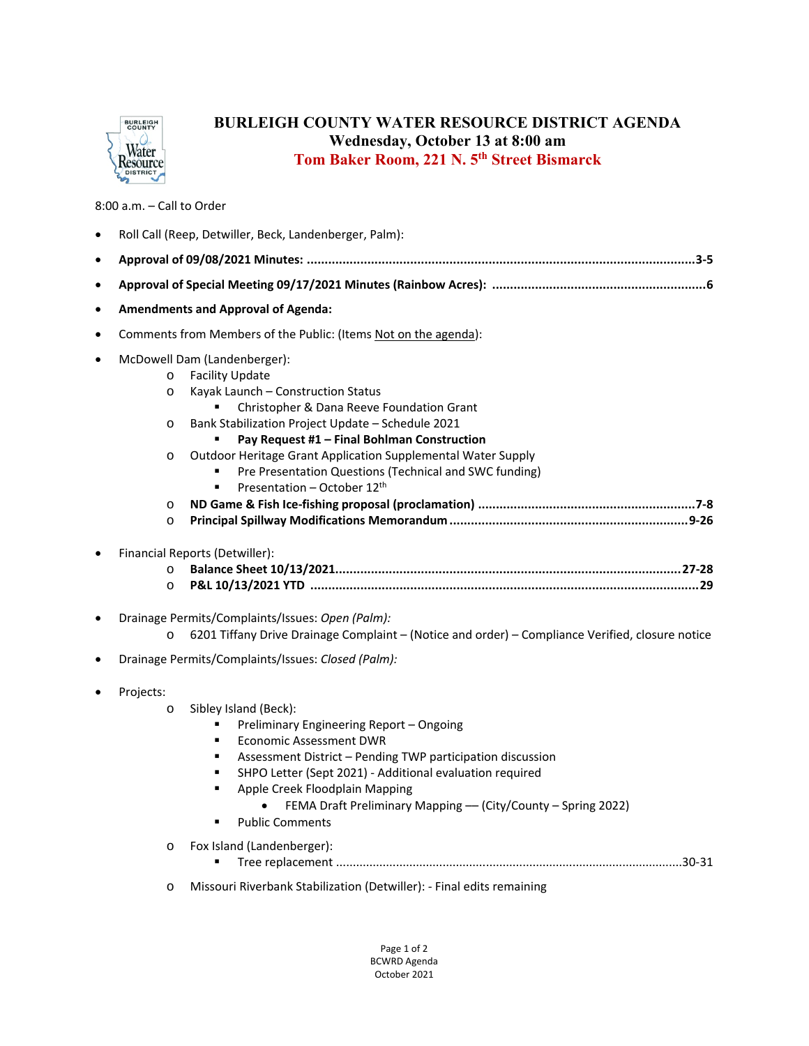

## **BURLEIGH COUNTY WATER RESOURCE DISTRICT AGENDA Wednesday, October 13 at 8:00 am Tom Baker Room, 221 N. 5th Street Bismarck**

8:00 a.m. – Call to Order

|           | Roll Call (Reep, Detwiller, Beck, Landenberger, Palm):          |                                                                                                                                                                                                                                                                                                                                                                                                                                      |  |  |
|-----------|-----------------------------------------------------------------|--------------------------------------------------------------------------------------------------------------------------------------------------------------------------------------------------------------------------------------------------------------------------------------------------------------------------------------------------------------------------------------------------------------------------------------|--|--|
| $\bullet$ |                                                                 |                                                                                                                                                                                                                                                                                                                                                                                                                                      |  |  |
| $\bullet$ |                                                                 |                                                                                                                                                                                                                                                                                                                                                                                                                                      |  |  |
| ٠         | <b>Amendments and Approval of Agenda:</b>                       |                                                                                                                                                                                                                                                                                                                                                                                                                                      |  |  |
| $\bullet$ | Comments from Members of the Public: (Items Not on the agenda): |                                                                                                                                                                                                                                                                                                                                                                                                                                      |  |  |
|           | $\circ$<br>$\circ$<br>O<br>O<br>O<br>$\circ$                    | McDowell Dam (Landenberger):<br><b>Facility Update</b><br>Kayak Launch - Construction Status<br>Christopher & Dana Reeve Foundation Grant<br>Bank Stabilization Project Update - Schedule 2021<br>Pay Request #1 - Final Bohlman Construction<br>Outdoor Heritage Grant Application Supplemental Water Supply<br>Pre Presentation Questions (Technical and SWC funding)<br>Presentation - October 12 <sup>th</sup><br>$\blacksquare$ |  |  |
|           | $\circ$<br>$\circ$                                              | Financial Reports (Detwiller):                                                                                                                                                                                                                                                                                                                                                                                                       |  |  |
| $\bullet$ | $\circ$                                                         | Drainage Permits/Complaints/Issues: Open (Palm):<br>6201 Tiffany Drive Drainage Complaint - (Notice and order) - Compliance Verified, closure notice<br>Drainage Permits/Complaints/Issues: Closed (Palm):                                                                                                                                                                                                                           |  |  |
|           | Projects:<br>$\circ$                                            | Sibley Island (Beck):<br>Preliminary Engineering Report - Ongoing<br><b>Economic Assessment DWR</b><br>٠<br>Assessment District - Pending TWP participation discussion<br>π<br>SHPO Letter (Sept 2021) - Additional evaluation required<br>٠<br>Apple Creek Floodplain Mapping<br>٠<br>FEMA Draft Preliminary Mapping - (City/County - Spring 2022)<br><b>Public Comments</b><br>٠                                                   |  |  |
|           | $\circ$                                                         | Fox Island (Landenberger):                                                                                                                                                                                                                                                                                                                                                                                                           |  |  |
|           | $\circ$                                                         | Missouri Riverbank Stabilization (Detwiller): - Final edits remaining                                                                                                                                                                                                                                                                                                                                                                |  |  |

Page 1 of 2 BCWRD Agenda October 2021